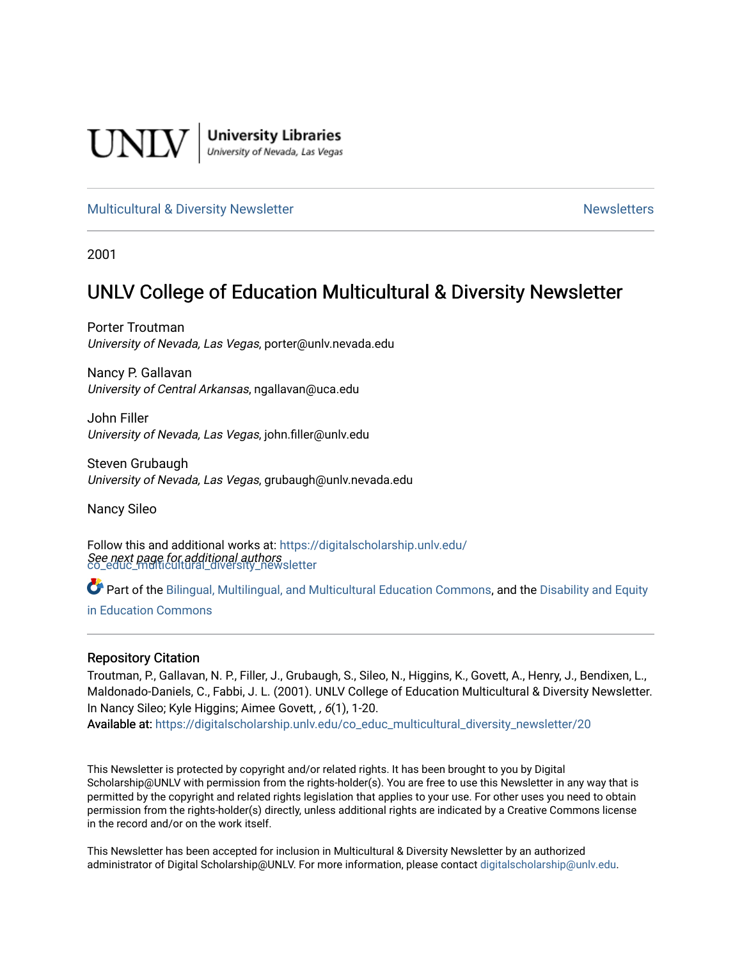

**University Libraries**<br>University of Nevada, Las Vegas

### [Multicultural & Diversity Newsletter](https://digitalscholarship.unlv.edu/co_educ_multicultural_diversity_newsletter) Newsletter [Newsletters](https://digitalscholarship.unlv.edu/co_educ_newsletters) Newsletters

2001

### UNLV College of Education Multicultural & Diversity Newsletter

Porter Troutman University of Nevada, Las Vegas, porter@unlv.nevada.edu

Nancy P. Gallavan University of Central Arkansas, ngallavan@uca.edu

John Filler University of Nevada, Las Vegas, john.filler@unlv.edu

Steven Grubaugh University of Nevada, Las Vegas, grubaugh@unlv.nevada.edu

Nancy Sileo

See next page for additional authors [co\\_educ\\_multicultural\\_diversity\\_newsletter](https://digitalscholarship.unlv.edu/co_educ_multicultural_diversity_newsletter?utm_source=digitalscholarship.unlv.edu%2Fco_educ_multicultural_diversity_newsletter%2F20&utm_medium=PDF&utm_campaign=PDFCoverPages)  Follow this and additional works at: [https://digitalscholarship.unlv.edu/](https://digitalscholarship.unlv.edu/co_educ_multicultural_diversity_newsletter?utm_source=digitalscholarship.unlv.edu%2Fco_educ_multicultural_diversity_newsletter%2F20&utm_medium=PDF&utm_campaign=PDFCoverPages)

Part of the [Bilingual, Multilingual, and Multicultural Education Commons,](http://network.bepress.com/hgg/discipline/785?utm_source=digitalscholarship.unlv.edu%2Fco_educ_multicultural_diversity_newsletter%2F20&utm_medium=PDF&utm_campaign=PDFCoverPages) and the Disability and Equity [in Education Commons](http://network.bepress.com/hgg/discipline/1040?utm_source=digitalscholarship.unlv.edu%2Fco_educ_multicultural_diversity_newsletter%2F20&utm_medium=PDF&utm_campaign=PDFCoverPages)

#### Repository Citation

Troutman, P., Gallavan, N. P., Filler, J., Grubaugh, S., Sileo, N., Higgins, K., Govett, A., Henry, J., Bendixen, L., Maldonado-Daniels, C., Fabbi, J. L. (2001). UNLV College of Education Multicultural & Diversity Newsletter. In Nancy Sileo; Kyle Higgins; Aimee Govett, , 6(1), 1-20. Available at: [https://digitalscholarship.unlv.edu/co\\_educ\\_multicultural\\_diversity\\_newsletter/20](https://digitalscholarship.unlv.edu/co_educ_multicultural_diversity_newsletter/20) 

This Newsletter is protected by copyright and/or related rights. It has been brought to you by Digital Scholarship@UNLV with permission from the rights-holder(s). You are free to use this Newsletter in any way that is permitted by the copyright and related rights legislation that applies to your use. For other uses you need to obtain permission from the rights-holder(s) directly, unless additional rights are indicated by a Creative Commons license in the record and/or on the work itself.

This Newsletter has been accepted for inclusion in Multicultural & Diversity Newsletter by an authorized administrator of Digital Scholarship@UNLV. For more information, please contact [digitalscholarship@unlv.edu.](mailto:digitalscholarship@unlv.edu)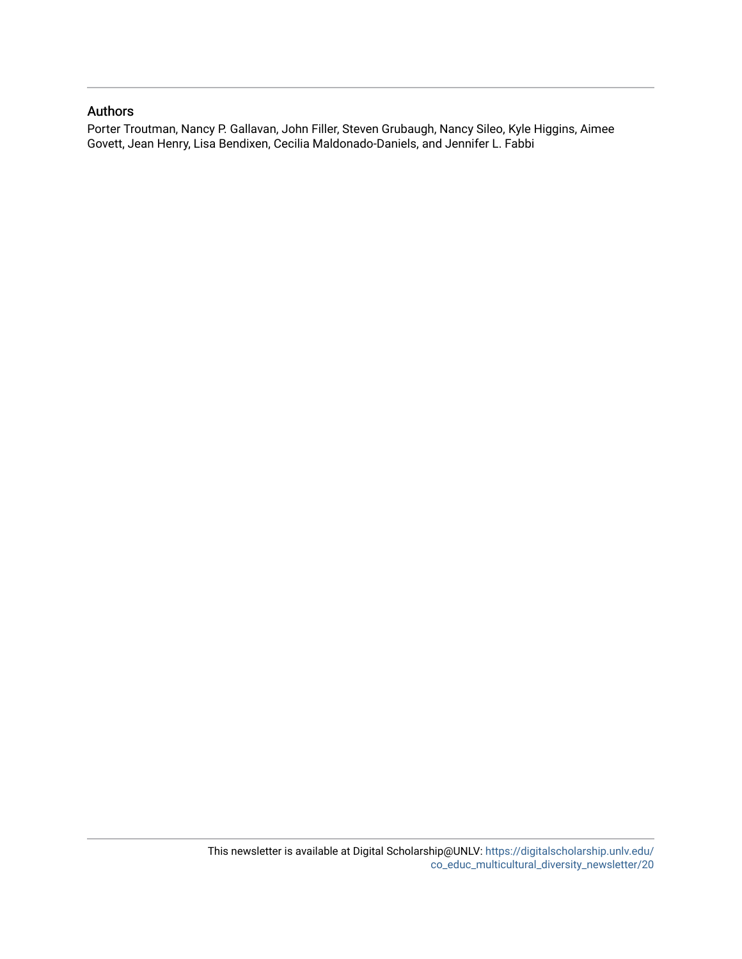### Authors

Porter Troutman, Nancy P. Gallavan, John Filler, Steven Grubaugh, Nancy Sileo, Kyle Higgins, Aimee Govett, Jean Henry, Lisa Bendixen, Cecilia Maldonado-Daniels, and Jennifer L. Fabbi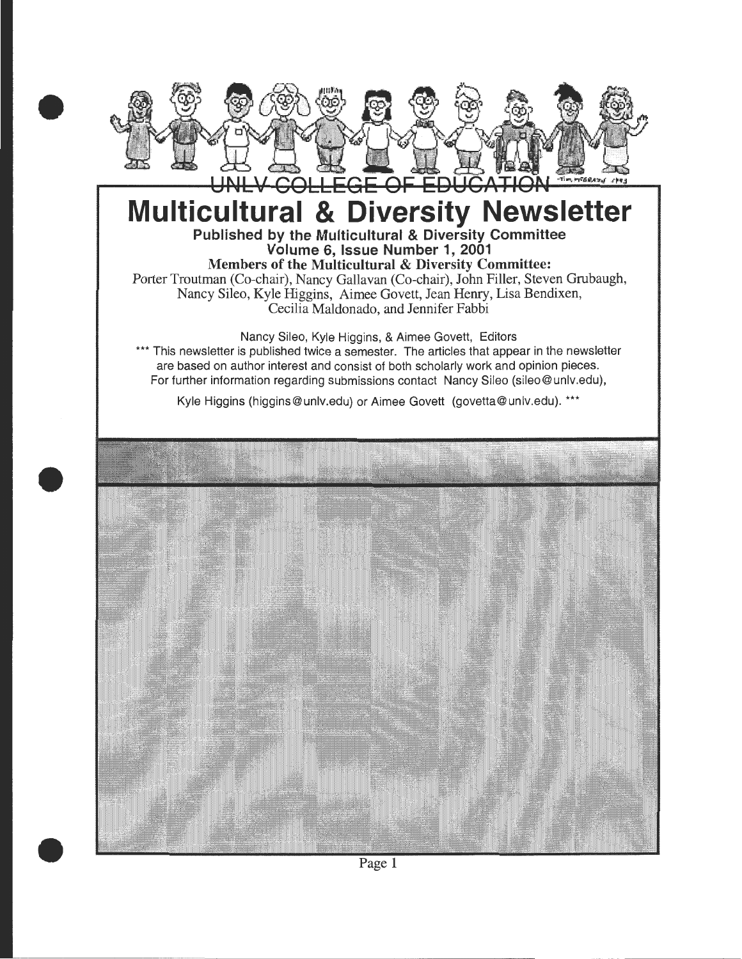

# **Multicultural & Diversity Newsletter**  Published by the Multicultural & Diversity Committee

Volume 6, Issue Number 1, 2001 Members of the Multicultural & Diversity Committee: Porter Troutman (Co-chair), Nancy Gallavan (Co-chair), John Filler, Steven Grubaugh, Nancy Sileo, Kyle Higgins, Aimee Govett, Jean Henry, Lisa Bendixen, Cecilia Maldonado, and Jennifer Fabbi

Nancy Sileo, Kyle Higgins, & Aimee Govett, Editors \*\*\* This newsletter is published twice a semester. The articles that appear in the newsletter are based on author interest and consist of both scholarly work and opinion pieces. For further information regarding submissions contact Nancy Sileo (sileo@unlv.edu),

Kyle Higgins (higgins@unlv.edu) or Aimee Govett (govetta@unlv.edu). \*\*\*

•

•

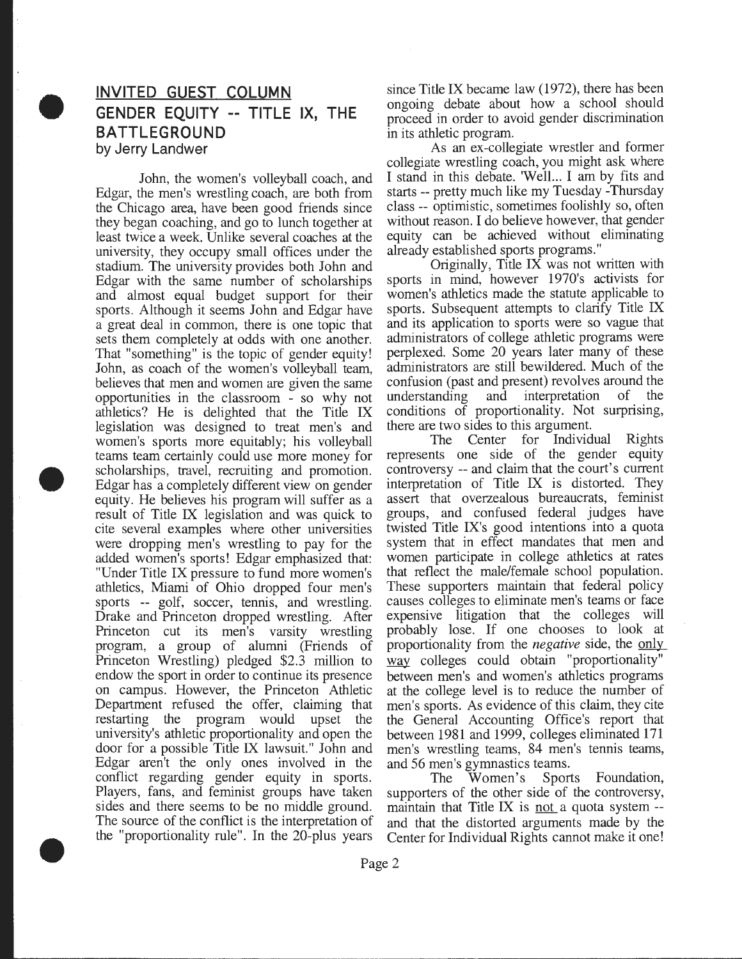

•

### **INVITED GUEST COLUMN GENDER EQUITY -- TITLE** IX, **THE BATTLEGROUND**  by Jerry Landwer

• John, the women's volleyball coach, and Edgar, the men's wrestling coach, are both from the Chicago area, have been good friends since they began coaching, and go to lunch together at least twice a week. Unlike several coaches at the university, they occupy small offices under the stadium. The university provides both John and Edgar with the same number of scholarships and almost equal budget support for their sports. Although it seems John and Edgar have a great deal in common, there is one topic that sets them completely at odds with one another. That "something" is the topic of gender equity! John, as coach of the women's volleyball team, believes that men and women are given the same opportunities in the classroom - so why not athletics? He is delighted that the Title IX legislation was designed to treat men's and women's sports more equitably; his volleyball teams team certainly could use more money for scholarships, travel, recruiting and promotion. Edgar has a completely different view on gender equity. He believes his program will suffer as a result of Title IX legislation and was quick to cite several examples where other universities were dropping men's wrestling to pay for the added women's sports! Edgar emphasized that: "Under Title IX pressure to fund more women's athletics, Miami of Ohio dropped four men's sports -- golf, soccer, tennis, and wrestling. Drake and Princeton dropped wrestling. After Princeton cut its men's varsity wrestling program, a group of alumni (Friends of Princeton Wrestling) pledged \$2.3 million to endow the sport in order to continue its presence on campus. However, the Princeton Athletic Department refused the offer, claiming that restarting the program would upset the university's athletic proportionality and open the door for a possible Title IX lawsuit." John and Edgar aren't the only ones involved in the conflict regarding gender equity in sports. Players, fans, and feminist groups have taken sides and there seems to be no middle ground. The source of the conflict is the interpretation of the "proportionality rule". In the 20-plus years

since Title IX became law (1972), there has been ongoing debate about how a school should proceed in order to avoid gender discrimination in its athletic program.

As an ex-collegiate wrestler and former collegiate wrestling coach, you might ask where I stand in this debate. 'Well... I am by fits and starts -- pretty much like my Tuesday -Thursday class -- optimistic, sometimes foolishly so, often without reason. I do believe however, that gender equity can be achieved without eliminating already established sports programs."

Originally, Title IX was not written with sports in mind, however 1970's activists for women's athletics made the statute applicable to sports. Subsequent attempts to clarify Title IX and its application to sports were so vague that administrators of college athletic programs were perplexed. Some 20 years later many of these administrators are still bewildered. Much of the confusion (past and present) revolves around the understanding and interpretation of the conditions of proportionality. Not surprising, there are two sides to this argument.

The Center for Individual Rights represents one side of the gender equity controversy -- and claim that the court's current interpretation of Title IX is distorted. They assert that overzealous bureaucrats, feminist groups, and confused federal judges have twisted Title IX's good intentions into a quota system that in effect mandates that men and women participate in college athletics at rates that reflect the male/female school population. These supporters maintain that federal policy causes colleges to eliminate men's teams or face expensive litigation that the colleges will probably lose. If one chooses to look at proportionality from the *negative* side, the only way colleges could obtain "proportionality" between men's and women's athletics programs at the college level is to reduce the number of men's sports. As evidence of this claim, they cite the General Accounting Office's report that between 1981 and 1999, colleges eliminated 171 men's wrestling teams, 84 men's tennis teams, and 56 men's gymnastics teams.

The Women's Sports Foundation, supporters of the other side of the controversy, maintain that Title IX is not a quota system - and that the distorted arguments made by the Center for Individual Rights cannot make it one!

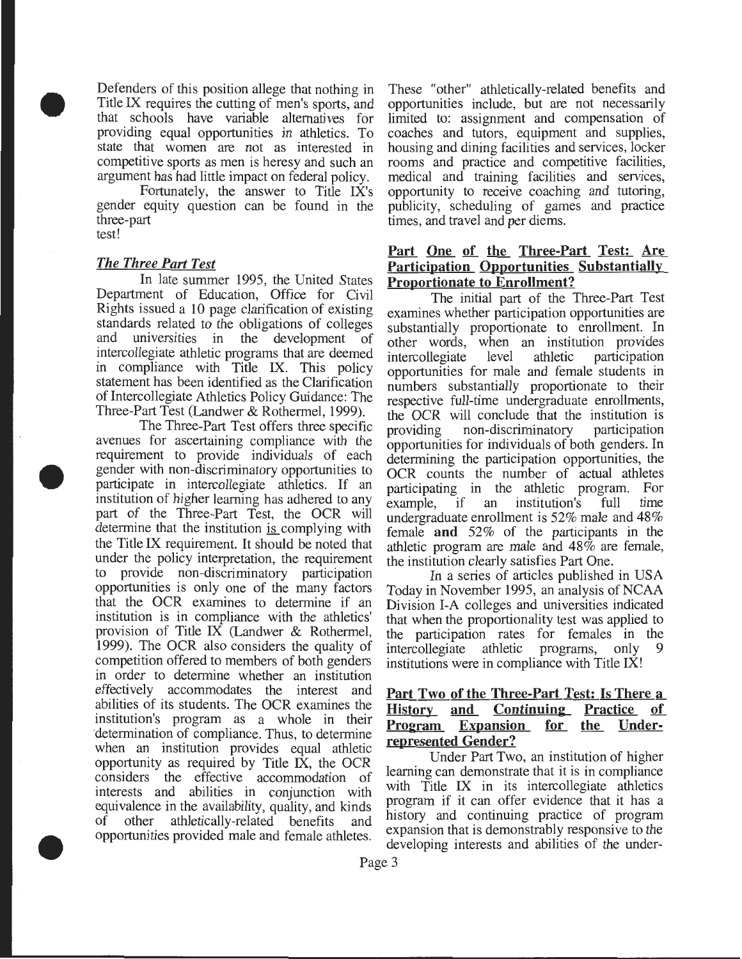Defenders of this position allege that nothing in Title IX requires the cutting of men's sports, and that schools have variable alternatives for providing equal opportunities in athletics. To state that women are not as interested in competitive sports as men is heresy and such an argument has had little impact on federal policy.

Fortunately, the answer to Title IX's gender equity question can be found in the three-part test!

#### *The Three Part Test*

•

•

•

In late summer 1995, the United States Department of Education, Office for Civil Rights issued a 10 page clarification of existing standards related to the obligations of colleges and universities in the development of intercollegiate athletic programs that are deemed in compliance with Title IX. This policy statement has been identified as the Clarification of Intercollegiate Athletics Policy Guidance: The Three-Part Test (Landwer & Rothermel, 1999).

The Three-Part Test offers three specific avenues for ascertaining compliance with the requirement to provide individuals of each gender with non-discriminatory opportunities to participate in intercollegiate athletics. If an institution of higher learning has adhered to any part of the Three-Part Test, the OCR will determine that the institution is complying with the Title IX requirement. It should be noted that under the policy interpretation, the requirement to provide non-discriminatory participation opportunities is only one of the many factors that the OCR examines to determine if an institution is in compliance with the athletics' provision of Title IX (Landwer & Rothermel, 1999). The OCR also considers the quality of competition offered to members of both genders in order to determine whether an institution effectively accommodates the interest and abilities of its students. The OCR examines the institution's program as a whole in their determination of compliance. Thus, to determine when an institution provides equal athletic opportunity as required by Title IX, the OCR considers the effective accommodation of interests and abilities in conjunction with equivalence in the availability, quality, and kinds of other athletically-related benefits and opportunities provided male and female athletes.

These "other" athletically-related benefits and opportunities include, but are not necessarily limited to: assignment and compensation of coaches and tutors, equipment and supplies, housing and dining facilities and services, locker rooms and practice and competitive facilities, medical and training facilities and services, opportunity to receive coaching and tutoring, publicity, scheduling of games and practice times, and travel and per diems.

### Part One of the Three-Part Test: Are Participation Opportunities Substantially Proportionate to Enrollment?

The initial part of the Three-Part Test examines whether participation opportunities are substantially proportionate to enrollment. In other words, when an institution provides intercollegiate level athletic participation opportunities for male and female students in numbers substantially proportionate to their respective full-time undergraduate enrollments, the OCR will conclude that the institution is<br>providing non-discriminatory participation providing non-discriminatory opportunities for individuals of both genders. In determining the participation opportunities, the OCR counts the number of actual athletes participating in the athletic program. For example, if an institution's full time undergraduate enrollment is 52% male and 48% female and 52% of the participants in the athletic program are male and 48% are female, the institution clearly satisfies Part One.

In a series of articles published in USA Today in November 1995, an analysis of NCAA Division 1-A colleges and universities indicated that when the proportionality test was applied to the participation rates for females in the intercollegiate athletic programs, only 9 institutions were in compliance with Title IX!

### Part Two of the Three-Part Test: Is There a History and Continuing Practice of Program Expansion for the Underrepresented Gender?

Under Part Two, an institution of higher learning can demonstrate that it is in compliance with Title IX in its intercollegiate athletics program if it can offer evidence that it has a history and continuing practice of program expansion that is demonstrably responsive to the developing interests and abilities of the under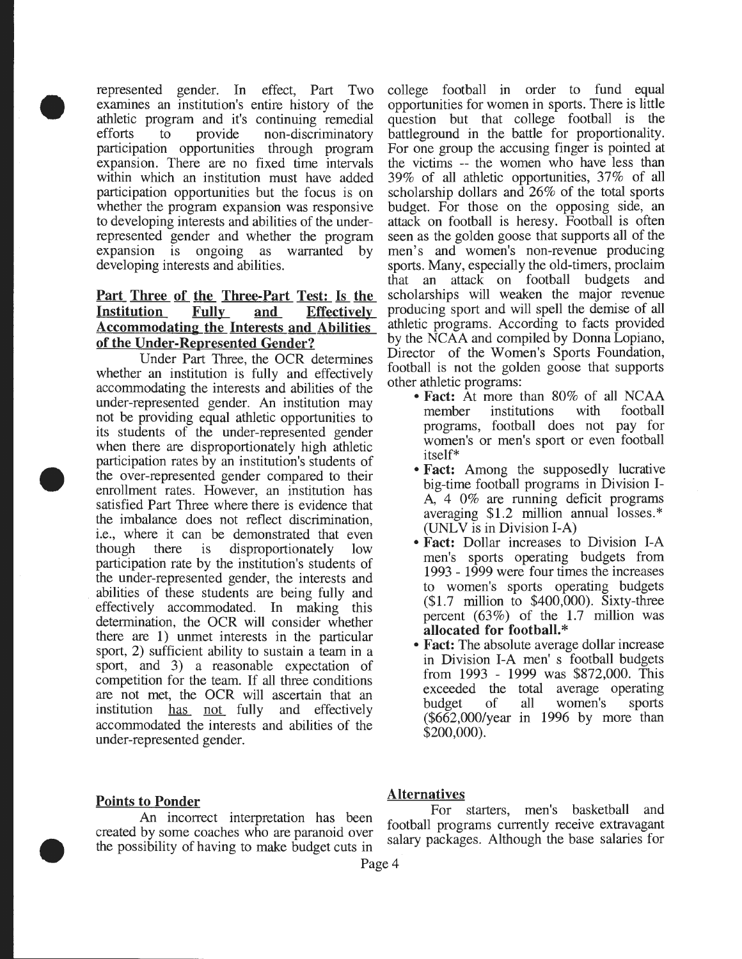represented gender. In effect, Part Two examines an institution's entire history of the athletic program and it's continuing remedial efforts to provide non-discriminatory participation opportunities through program expansion. There are no fixed time intervals within which an institution must have added participation opportunities but the focus is on whether the program expansion was responsive to developing interests and abilities of the underrepresented gender and whether the program expansion is ongoing as warranted by developing interests and abilities.

•

•

•

### Part Three of the Three-Part Test: Is the Institution Fully and Effectively Accommodatine the Interests and Abilities of the Under-Represented Gender?

Under Part Three, the OCR determines whether an institution is fully and effectively accommodating the interests and abilities of the under-represented gender. An institution may not be providing equal athletic opportunities to its students of the under-represented gender when there are disproportionately high athletic participation rates by an institution's students of the over-represented gender compared to their enrollment rates. However, an institution has satisfied Part Three where there is evidence that the imbalance does not reflect discrimination i.e., where it can be demonstrated that even though there is disproportionately low participation rate by the institution's students of the under-represented gender, the interests and abilities of these students are being fully and effectively accommodated. In making this determination, the OCR will consider whether there are 1) unmet interests in the particular sport, 2) sufficient ability to sustain a team in a sport, and 3) a reasonable expectation of competition for the team. If all three conditions are not met, the OCR will ascertain that an institution has not fully and effectively accommodated the interests and abilities of the under-represented gender.

created by some coaches who are paranoid over<br>the nogeibility of hoving to make hydrot over formally packages. Although the base salaries for the possibility of having to make budget cuts in

college football in order to fund equal opportunities for women in sports. There is little question but that college football is the battleground in the battle for proportionality. For one group the accusing finger is pointed at the victims -- the women who have less than 39% of all athletic opportunities, 37% of all scholarship dollars and 26% of the total sports budget. For those on the opposing side, an attack on football is heresy. Football is often seen as the golden goose that supports all of the men's and women's non-revenue producing sports. Many, especially the old-timers, proclaim that an attack on football budgets and scholarships will weaken the major revenue producing sport and will spell the demise of all athletic programs. According to facts provided by the NCAA and compiled by Donna Lopiano, Director of the Women's Sports Foundation, football is not the golden goose that supports other athletic programs:

- Fact: At more than 80% of all NCAA member institutions with football programs, football does not pay for women's or men's sport or even football itself\*
- **Fact:** Among the supposedly lucrative big-time football programs in Division I-A, 4 0% are running deficit programs averaging \$1.2 million annual losses.\* (UNLV is in Division I-A)
- Fact: Dollar increases to Division I-A men's sports operating budgets from 1993 - 1999 were four times the increases to women's sports operating budgets (\$1.7 million to \$400,000). Sixty-three percent (63%) of the 1.7 million was allocated for football.\*
- Fact: The absolute average dollar increase in Division I-A men' s football budgets from 1993 - 1999 was \$872,000. This exceeded the total average operating budget of all women's sports (\$662,000/year in 1996 by more than \$200,000).

Points to Ponder<br>An incorrect intermetation has been and For starters, men's basketball and An incorrect interpretation has been football programs currently receive extravagant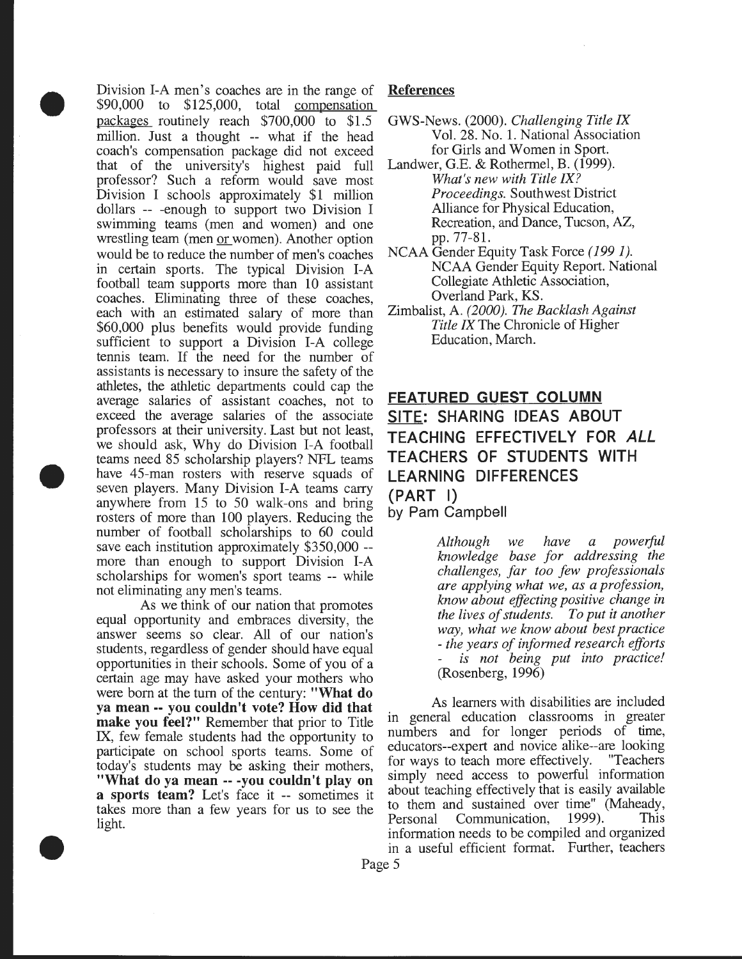Division 1-A men's coaches are in the range of \$90,000 to \$125,000, total compensation packages routinely reach \$700,000 to \$1.5 million. Just a thought -- what if the head coach's compensation package did not exceed that of the university's highest paid full professor? Such a reform would save most Division I schools approximately \$1 million dollars -- -enough to support two Division I swimming teams (men and women) and one wrestling team (men or women). Another option would be to reduce the number of men's coaches in certain sports. The typical Division 1-A football team supports more than 10 assistant coaches. Eliminating three of these coaches, each with an estimated salary of more than \$60,000 plus benefits would provide funding sufficient to support a Division I-A college tennis team. If the need for the number of assistants is necessary to insure the safety of the athletes, the athletic departments could cap the average salaries of assistant coaches, not to exceed the average salaries of the associate professors at their university. Last but not least, we should ask, Why do Division 1-A football teams need 85 scholarship players? NFL teams have 45-man rosters with reserve squads of seven players. Many Division 1-A teams carry anywhere from 15 to 50 walk-ons and bring rosters of more than 100 players. Reducing the number of football scholarships to 60 could save each institution approximately \$350,000 - more than enough to support Division 1-A scholarships for women's sport teams -- while not eliminating any men's teams.

•

•

•

As we think of our nation that promotes equal opportunity and embraces diversity, the answer seems so clear. All of our nation's students, regardless of gender should have equal oppo\_rtunities in their schools. Some of you of a certain age may have asked your mothers who were born at the turn of the century: "What do ya mean-- you couldn't vote? How did that make you feel?" Remember that prior to Title IX, few female students had the opportunity to participate on school sports teams. Some of today's students may be asking their mothers,<br>"What do ya mean -- -you couldn't play on a sports team? Let's face it -- sometimes it takes more than a few years for us to see the light.

#### References

- GWS-News. (2000). *Challenging Title IX*  Vol. 28. No. 1. National Association for Girls and Women in Sport.
- Landwer, G.E. & Rothermel, B. (1999). *What's new with Title IX? Proceedings.* Southwest District Alliance for Physical Education, Recreation, and Dance, Tucson, AZ, pp. 77-81.
- NCAA Gender Equity Task Force (1991). NCAA Gender Equity Report. National Collegiate Athletic Association, Overland Park, KS.
- Zimbalist, A. *(2000). The Backlash Against Title IX* The Chronicle of Higher Education, March.

### FEATURED GUEST COLUMN SITE: SHARING IDEAS ABOUT TEACHING EFFECTIVELY FOR ALL TEACHERS OF STUDENTS WITH LEARNING DIFFERENCES (PART I) by Pam Campbell

*Although we have a powerful knowledge base for addressing the challenges, far too few professionals are applying what we, as a profession, know about effecting positive change in the lives of students. To put it another way, what we know about best practice*  - *the years of informed research efforts is not being put into practice!*  (Rosenberg, 1996)

As learners with disabilities are included in general education classrooms in greater numbers and for longer periods of time, educators--expert and novice alike--are looking for ways to teach more effectively. "Teachers simply need access to powerful information about teaching effectively that is easily available to them and sustained over time" (Maheady, Personal Communication, 1999). This information needs to be compiled and organized in a useful efficient format. Further, teachers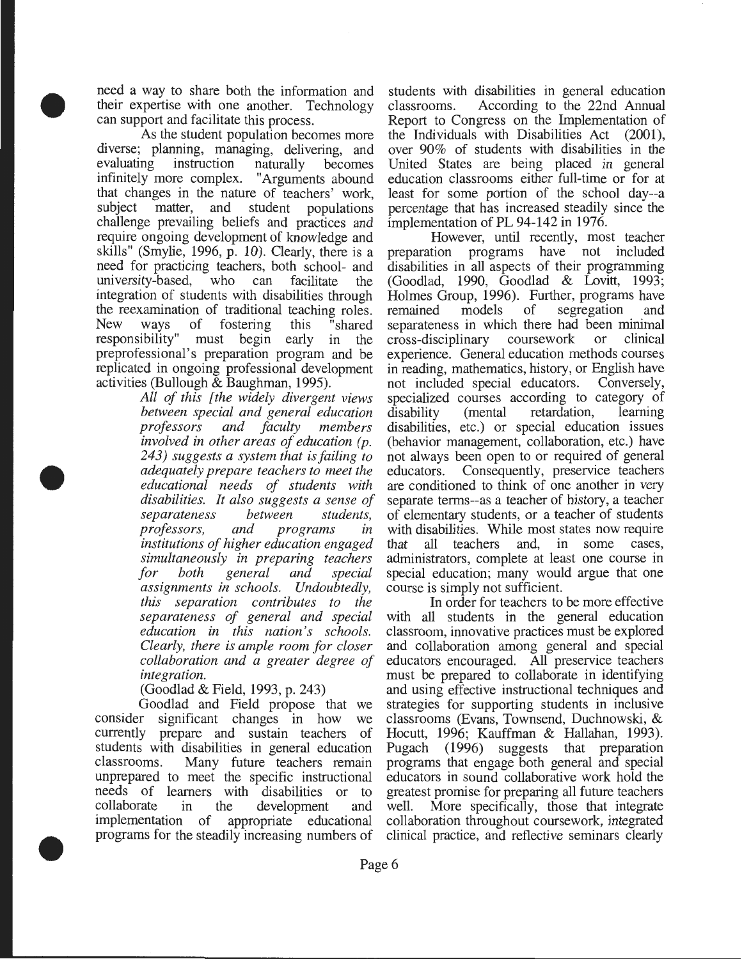•

•

•

need a way to share both the information and their expertise with one another. Technology can support and facilitate this process.

As the student population becomes more diverse; planning, managing, delivering, and evaluating instruction naturally becomes infinitely more complex. "Arguments abound that changes in the nature of teachers' work, subject matter, and student populations challenge prevailing beliefs and practices and require ongoing development of knowledge and skills" (Smylie, 1996, p. 10). Clearly, there is a need for practicing teachers, both school- and university-based, who can facilitate the integration of students with disabilities through the reexamination of traditional teaching roles.<br>New ways of fostering this "shared" New ways of fostering this "shared<br>responsibility" must begin early in the must begin early in the preprofessional's preparation program and be replicated in ongoing professional development activities (Bullough & Baughman, 1995).

> *All of this [the widely divergent views between special and general education professors and faculty members involved in other areas of education (p. 243) suggests a system that is failing to adequately prepare teachers to meet the educational needs of students with disabilities. It also suggests a sense of separateness between students, professors, and programs in institutions of higher education engaged simultaneously in preparing teachers for both general and special assignments in schools. Undoubtedly, this separation contributes to the separateness of general and special education in this nation's schools. Clearly, there is ample room for closer collaboration and a greater degree of integration.*

(Goodlad & Field, 1993, p. 243)

Goodlad and Field propose that we consider significant changes in how we currently prepare and sustain teachers of students with disabilities in general education classrooms. Many future teachers remain unprepared to meet the specific instructional needs of learners with disabilities or to collaborate in the development and implementation of appropriate educational programs for the steadily increasing numbers of

students with disabilities in general education classrooms. According to the 22nd Annual Report to Congress on the Implementation of the Individuals with Disabilities Act (2001), over 90% of students with disabilities in the United States are being placed in general education classrooms either full-time or for at least for some portion of the school day--a percentage that has increased steadily since the implementation of PL 94-142 in 1976.

However, until recently, most teacher preparation programs have not included disabilities in all aspects of their programming (Goodlad, 1990, Goodlad & Lovitt, 1993; Holmes Group, 1996). Further, programs have remained models of segregation separateness in which there had been minimal<br>cross-disciplinary coursework or clinical cross-disciplinary coursework experience. General education methods courses in reading, mathematics, history, or English have not included special educators. Conversely, specialized courses according to category of disability (mental retardation, learning disability (mental retardation, disabilities, etc.) or special education issues (behavior management, collaboration, etc.) have not always been open to or required of general educators. Consequently, preservice teachers are conditioned to think of one another in very separate terms--as a teacher of history, a teacher of elementary students, or a teacher of students with disabilities. While most states now require that all teachers and, in some cases, administrators, complete at least one course in special education; many would argue that one course is simply not sufficient.

In order for teachers to be more effective with all students in the general education classroom, innovative practices must be explored and collaboration among general and special educators encouraged. All preservice teachers must be prepared to collaborate in identifying and using effective instructional techniques and strategies for supporting students in inclusive classrooms (Evans, Townsend, Duchnowski, & Hocutt, 1996; Kauffman & Hallahan, 1993). Pugach (1996) suggests that preparation programs that engage both general and special educators in sound collaborative work hold the greatest promise for preparing all future teachers well. More specifically, those that integrate collaboration throughout coursework, integrated clinical practice, and reflective seminars clearly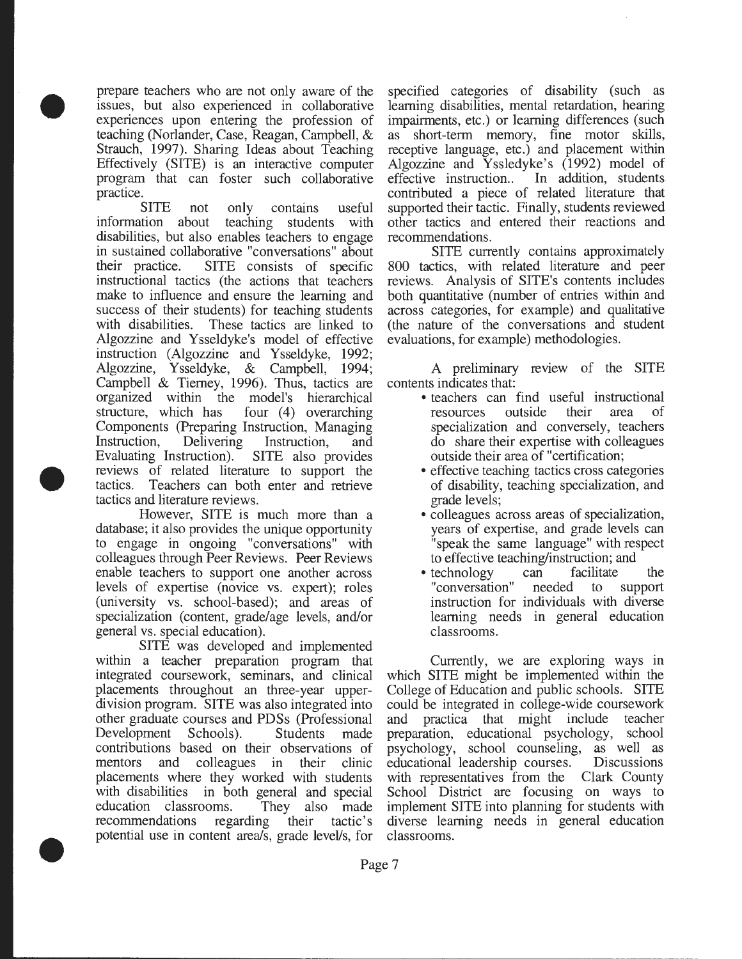prepare teachers who are not only aware of the issues, but also experienced in collaborative experiences upon entering the profession of teaching (Norlander, Case, Reagan, Campbell, & Strauch, 1997). Sharing Ideas about Teaching Effectively (SITE) is an interactive computer program that can foster such collaborative practice.

•

•

•

SITE not only contains useful information about teaching students with disabilities, but also enables teachers to engage in sustained collaborative "conversations" about their practice. SITE consists of specific instructional tactics (the actions that teachers make to influence and ensure the learning and success of their students) for teaching students with disabilities. These tactics are linked to Algozzine and Ysseldyke's model of effective instruction (Algozzine and Ysseldyke, 1992; Algozzine, Ysseldyke, & Campbell, 1994; Campbell & Tierney, 1996). Thus, tactics are organized within the model's hierarchical structure, which has four (4) overarching Components (Preparing Instruction, Managing Instruction, Delivering Instruction, and Evaluating Instruction). SITE also provides reviews of related literature to support the tactics. Teachers can both enter and retrieve tactics and literature reviews.

However, SITE is much more than a database; it also provides the unique opportunity to engage in ongoing "conversations" with colleagues through Peer Reviews. Peer Reviews enable teachers to support one another across levels of expertise (novice vs. expert); roles (university vs. school-based); and areas of specialization (content, grade/age levels, and/or general vs. special education).

SITE was developed and implemented within a teacher preparation program that integrated coursework, seminars, and clinical placements throughout an three-year upperdivision program. SITE was also integrated into other graduate courses and PDSs (Professional Development Schools). Students made contributions based on their observations of mentors and colleagues in their clinic placements where they worked with students with disabilities in both general and special education classrooms. They also made recommendations regarding their tactic's potential use in content area/s, grade level/s, for

specified categories of disability (such as learning disabilities, mental retardation, hearing impairments, etc.) or learning differences (such as short-term memory, fine motor skills, receptive language, etc.) and placement within Algozzine and Yssledyke's (1992) model of effective instruction.. In addition, students contributed a piece of related literature that supported their tactic. Finally, students reviewed other tactics and entered their reactions and recommendations.

SITE currently contains approximately 800 tactics, with related literature and peer reviews. Analysis of SITE's contents includes both quantitative (number of entries within and across categories, for example) and qualitative (the nature of the conversations and student evaluations, for example) methodologies.

A preliminary review of the SITE contents indicates that:

- teachers can find useful instructional resources outside their area of specialization and conversely, teachers do share their expertise with colleagues outside their area of "certification;
- effective teaching tactics cross categories of disability, teaching specialization, and grade levels;
- colleagues across areas of specialization, years of expertise, and grade levels can "speak the same language" with respect to effective teaching/instruction; and
- technology can facilitate the "conversation" needed to support "conversation" needed to support instruction for individuals with diverse learning needs in general education classrooms.

Currently, we are exploring ways in which SITE might be implemented within the College of Education and public schools. SITE could be integrated in college-wide coursework and practica that might include teacher preparation, educational psychology, school psychology, school counseling, as well as educational leadership courses. Discussions with representatives from the Clark County School District are focusing on ways to implement SITE into planning for students with diverse learning needs in general education classrooms.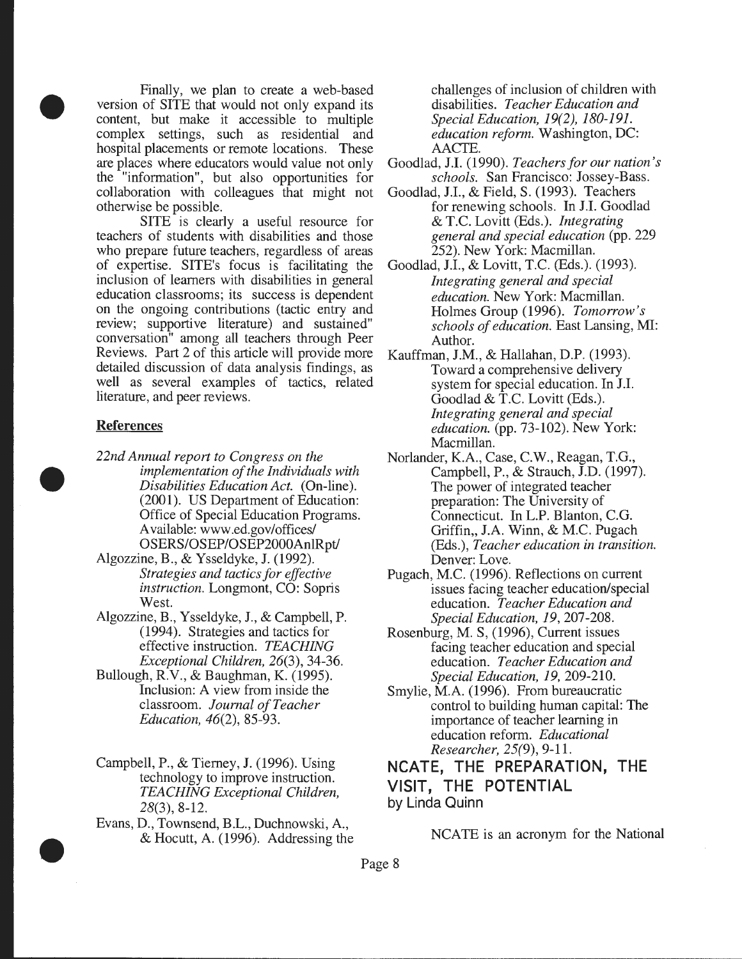Finally, we plan to create a web-based version of SITE that would not only expand its content, but make it accessible to multiple complex settings, such as residential and hospital placements or remote locations. These are places where educators would value not only the "information", but also opportunities for collaboration with colleagues that might not otherwise be possible.

SITE is clearly a useful resource for teachers of students with disabilities and those who prepare future teachers, regardless of areas of expertise. SITE's focus is facilitating the inclusion of learners with disabilities in general education classrooms; its success is dependent on the ongoing contributions (tactic entry and review; supportive literature) and sustained" conversation" among all teachers through Peer Reviews. Part 2 of this article will provide more detailed discussion of data analysis findings, as well as several examples of tactics, related literature, and peer reviews.

#### **References**

•

•

•

- *22nd Annual report to Congress on the implementation of the Individuals with Disabilities Education Act.* (On-line). (2001). US Department of Education: Office of Special Education Programs. Available: www .ed.gov/offices/ OSERS/OSEP/OSEP2000An1Rpt/
- Algozzine, B., & Ysseldyke, J. (1992). *Strategies and tactics for effective instruction.* Longmont, CO: Sopris West.
- Algozzine, B., Ysseldyke, J., & Campbell, P. (1994). Strategies and tactics for effective instruction. *TEACHING Exceptional Children,* 26(3), 34-36.
- Bullough, R.V., & Baughman, K. (1995). Inclusion: A view from inside the classroom. *Journal ofTeacher Education,* 46(2), 85-93.
- Campbell, P., & Tierney, J. (1996). Using technology to improve instruction. *TEACHING Exceptional Children,*  28(3), 8-12.
- Evans, D., Townsend, B.L., Duchnowski, A., & Hocutt, A. (1996). Addressing the

challenges of inclusion of children with disabilities. *Teacher Education and Special Education, 19(2), 180-191. education reform.* Washington, DC: AACTE.

- Goodlad, J.l. (1990). *Teachers for our nation's schools.* San Francisco: Jossey-Bass.
- Goodlad, J.I., & Field, S. (1993). Teachers for renewing schools. In J.l. Goodlad & T.C. Lovitt (Eds.). *Integrating general and special education* (pp. 229 252). New York: Macmillan.
- Goodlad, J.I., & Lovitt, T.C. (Eds.). (1993). *Integrating general and special education.* New York: Macmillan. Holmes Group (1996). *Tomorrow's schools of education.* East Lansing, MI: Author.
- Kauffman, J.M., & Hallahan, D.P. (1993). Toward a comprehensive delivery system for special education. In J.I. Goodlad & T.C. Lovitt (Eds.). *Integrating general and special education.* (pp. 73-102). New York: Macmillan.
- Norlander, K.A., Case, C.W., Reagan, T.G., Campbell, P., & Strauch, J.D. (1997). The power of integrated teacher preparation: The University of Connecticut. In L.P. Blanton, C.G. Griffin, J.A. Winn, & M.C. Pugach (Eds.), *Teacher education in transition.*  Denver: Love.
- Pugach, M.C. (1996). Reflections on current issues facing teacher education/special education. *Teacher Education and Special Education, 19,* 207-208.
- Rosenburg, M. S, (1996), Current issues facing teacher education and special education. *Teacher Education and Special Education, 19,* 209-210.
- Smylie, M.A. (1996). From bureaucratic control to building human capital: The importance of teacher learning in education reform. *Educational Researcher,* 25(9), 9-11.

### **NCATE, THE PREPARATION, THE VISIT, THE POTENTIAL**  by Linda Quinn

NCATE is an acronym for the National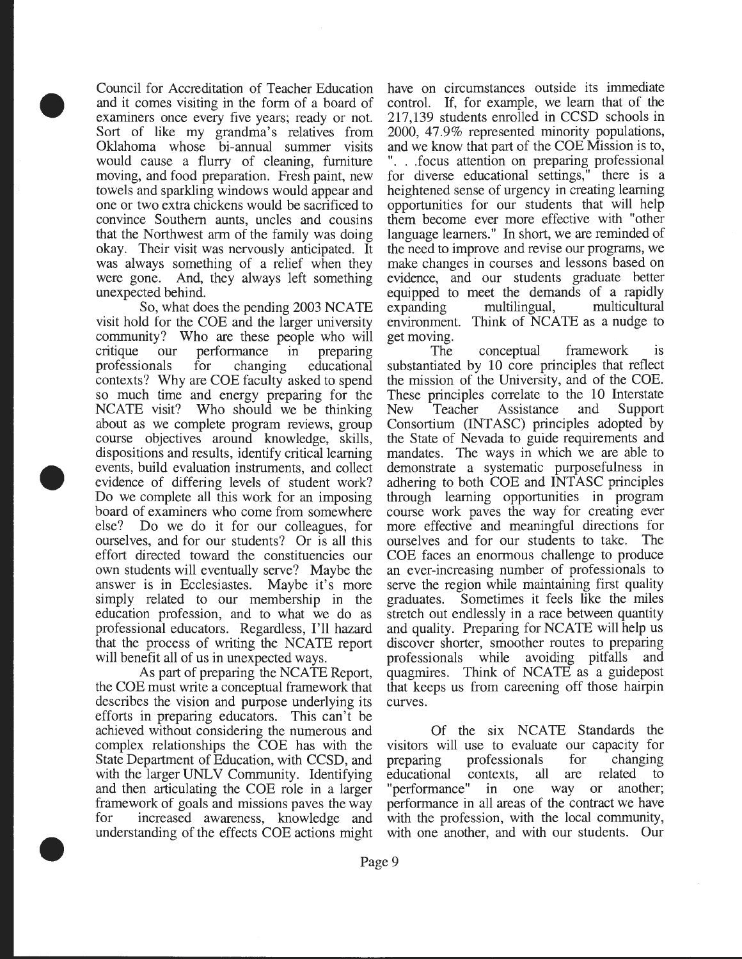Council for Accreditation of Teacher Education and it comes visiting in the form of a board of examiners once every five years; ready or not. Sort of like my grandma's relatives from Oklahoma whose bi-annual summer visits would cause a flurry of cleaning, furniture moving, and food preparation. Fresh paint, new towels and sparkling windows would appear and one or two extra chickens would be sacrificed to convince Southern aunts, uncles and cousins that the Northwest arm of the family was doing okay. Their visit was nervously anticipated. It was always something of a relief when they were gone. And, they always left something unexpected behind.

•

•

•

So, what does the pending 2003 NCATE visit hold for the COE and the larger university community? Who are these people who will critique our performance in preparing professionals for changing educational contexts? Why are COE faculty asked to spend so much time and energy preparing for the NCATE visit? Who should we be thinking about as we complete program reviews, group course objectives around knowledge, skills, dispositions and results, identify critical learning events, build evaluation instruments, and collect evidence of differing levels of student work? Do we complete all this work for an imposing board of examiners who come from somewhere else? Do we do it for our colleagues, for ourselves, and for our students? Or is all this effort directed toward the constituencies our own students will eventually serve? Maybe the answer is in Ecclesiastes. Maybe it's more simply related to our membership in the education profession, and to what we do as professional educators. Regardless, I'll hazard that the process of writing the NCATE report will benefit all of us in unexpected ways.

As part of preparing the NCATE Report, the COE must write a conceptual framework that describes the vision and purpose underlying its efforts in preparing educators. This can't be achieved without considering the numerous and complex relationships the COE has with the State Department of Education, with CCSD, and with the larger UNLV Community. Identifying and then articulating the COE role in a larger framework of goals and missions paves the way for increased awareness, knowledge and understanding of the effects COE actions might have on circumstances outside its immediate control. If, for example, we learn that of the 217,139 students enrolled in CCSD schools in 2000, 47.9% represented minority populations, and we know that part of the COE Mission is to, ". . .focus attention on preparing professional for diverse educational settings," there is a heightened sense of urgency in creating learning opportunities for our students that will help them become ever more effective with "other language learners." In short, we are reminded of the need to improve and revise our programs, we make changes in courses and lessons based on evidence, and our students graduate better equipped to meet the demands of a rapidly expanding multilingual, multicultural environment. Think of NCATE as a nudge to get moving.

The conceptual framework is substantiated by 10 core principles that reflect the mission of the University, and of the COE. These principles correlate to the 10 Interstate New Teacher Assistance and Support Consortium (INTASC) principles adopted by the State of Nevada to guide requirements and mandates. The ways in which we are able to demonstrate a systematic purposefulness in adhering to both COE and INTASC principles through learning opportunities in program course work paves the way for creating ever more effective and meaningful directions for ourselves and for our students to take. The COE faces an enormous challenge to produce an ever-increasing number of professionals to serve the region while maintaining first quality graduates. Sometimes it feels like the miles stretch out endlessly in a race between quantity and quality. Preparing for NCATE will help us discover shorter, smoother routes to preparing professionals while avoiding pitfalls and quagmires. Think of NCATE as a guidepost that keeps us from careening off those hairpin curves.

Of the six NCATE Standards the visitors will use to evaluate our capacity for preparing professionals for changing educational contexts, all are related to "performance" in one way or another; performance in all areas of the contract we have with the profession, with the local community, with one another, and with our students. Our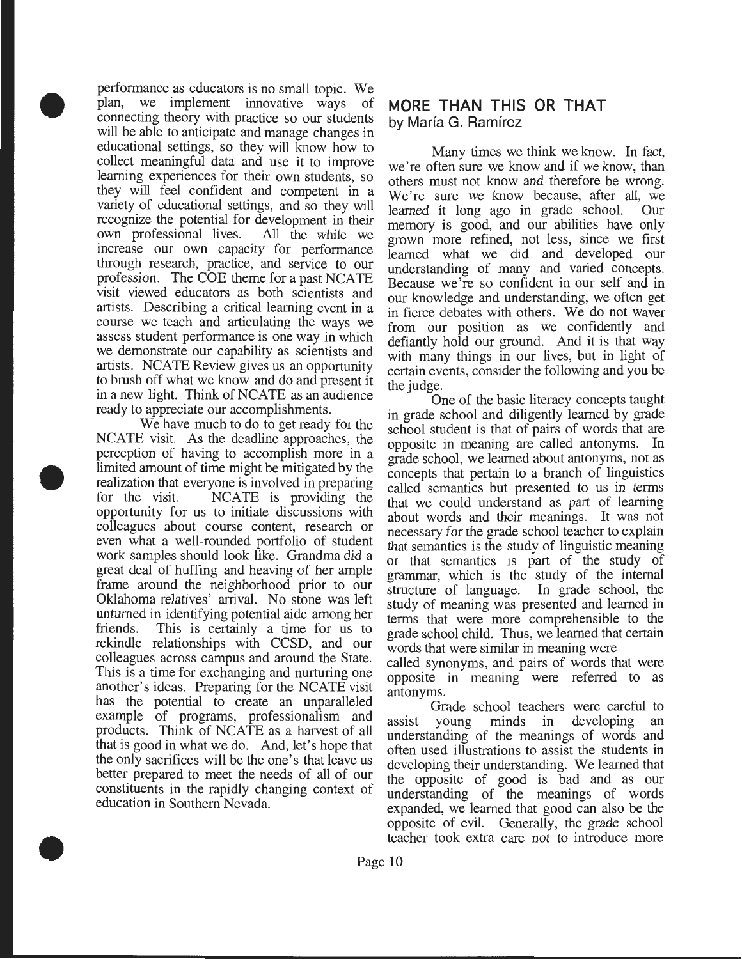performance as educators is no small topic. We plan, we implement innovative ways of connecting theory with practice so our students will be able to anticipate and manage changes in educational settings, so they will know how to collect meaningful data and use it to improve learning experiences for their own students, so they will feel confident and competent in a variety of educational settings, and so they will recognize the potential for development in their<br>own professional lives. All the while we own professional lives. increase our own capacity for performance through research, practice, and service to our profession. The COE theme for a past NCATE visit viewed educators as both scientists and artists. Describing a critical learning event in a course we teach and articulating the ways we assess student performance is one way in which we demonstrate our capability as scientists and artists. NCATE Review gives us an opportunity to brush off what we know and do and present it in a new light. Think of NCATE as an audience ready to appreciate our accomplishments.

•

•

•

We have much to do to get ready for the NCATE visit. As the deadline approaches, the perception of having to accomplish more in a limited amount of time might be mitigated by the realization that everyone is involved in preparing for the visit. NCATE is providing the opportunity for us to initiate discussions with colleagues about course content, research or even what a well-rounded portfolio of student work samples should look like. Grandma did a great deal of huffing and heaving of her ample frame around the neighborhood prior to our Oklahoma relatives' arrival. No stone was left unturned in identifying potential aide among her friends. This is certainly a time for us to rekindle relationships with CCSD, and our colleagues across campus and around the State. This is a time for exchanging and nurturing one another's ideas. Preparing for the NCATE visit has the potential to create an unparalleled example of programs, professionalism and products. Think of NCATE as a harvest of all that is good in what we do. And, let's hope that the only sacrifices will be the one's that leave us better prepared to meet the needs of all of our constituents in the rapidly changing context of education in Southern Nevada.

### **MORE THAN THIS OR THAT**  by Marfa G. Ramfrez

Many times we think we know. In fact, we're often sure we know and if we know, than others must not know and therefore be wrong. We're sure we know because, after all, we learned it long ago in grade school. Our learned it long ago in grade school. memory is good, and our abilities have only grown more refined, not less, since we first learned what we did and developed our understanding of many and varied concepts. Because we're so confident in our self and in our knowledge and understanding, we often get in fierce debates with others. We do not waver from our position as we confidently and defiantly hold our ground. And it is that way with many things in our lives, but in light of certain events, consider the following and you be the judge.

One of the basic literacy concepts taught in grade school and diligently learned by grade school student is that of pairs of words that are opposite in meaning are called antonyms. In grade school, we learned about antonyms, not as concepts that pertain to a branch of linguistics called semantics but presented to us in terms that we could understand as part of learning about words and their meanings. It was not necessary for the grade school teacher to explain that semantics is the study of linguistic meaning or that semantics is part of the study of grammar, which is the study of the internal structure of language. In grade school, the study of meaning was presented and learned in terms that were more comprehensible to the grade school child. Thus, we learned that certain words that were similar in meaning were

called synonyms, and pairs of words that were opposite in meaning were referred to as antonyms.

Grade school teachers were careful to<br>young minds in developing an assist young minds in developing an understanding of the meanings of words and often used illustrations to assist the students in developing their understanding. We learned that the opposite of good is bad and as our understanding of the meanings of words expanded, we learned that good can also be the opposite of evil. Generally, the grade school teacher took extra care not to introduce more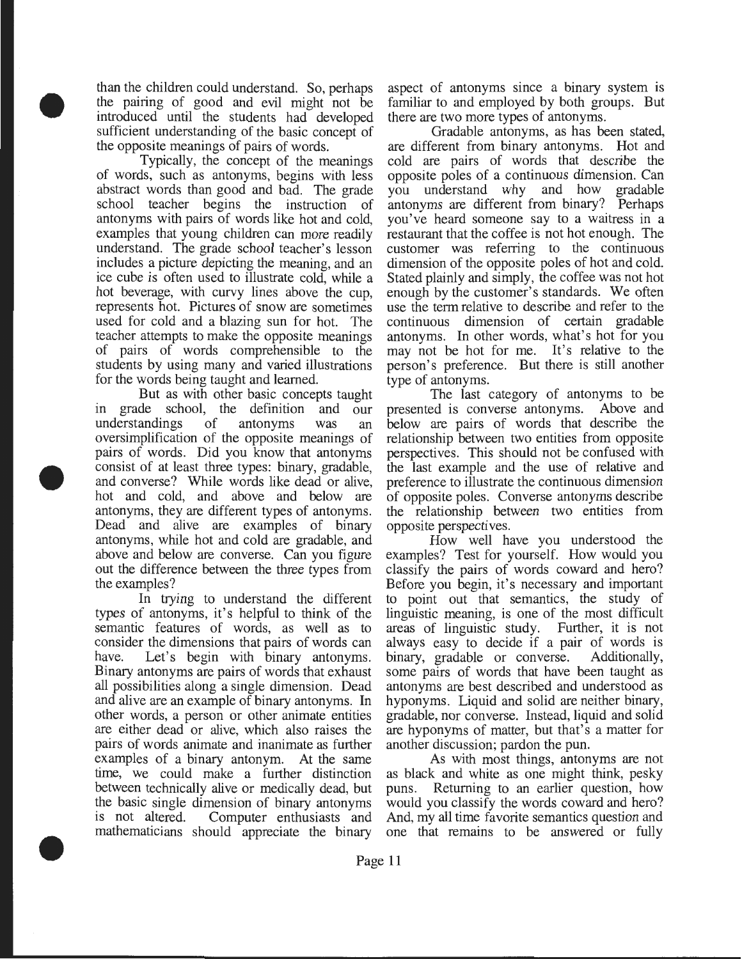than the children could understand. So, perhaps the pairing of good and evil might not be introduced until the students had developed sufficient understanding of the basic concept of the opposite meanings of pairs of words.

•

•

•

Typically, the concept of the meanings of words, such as antonyms, begins with less abstract words than good and bad. The grade school teacher begins the instruction of antonyms with pairs of words like hot and cold, examples that young children can more readily understand. The grade school teacher's lesson includes a picture depicting the meaning, and an ice cube is often used to illustrate cold, while a hot beverage, with curvy lines above the cup, represents hot. Pictures of snow are sometimes used for cold and a blazing sun for hot. The teacher attempts to make the opposite meanings of pairs of words comprehensible to the students by using many and varied illustrations for the words being taught and learned.

But as with other basic concepts taught in grade school, the definition and our understandings of antonyms was an oversimplification of the opposite meanings of pairs of words. Did you know that antonyms consist of at least three types: binary, gradable, and converse? While words like dead or alive, hot and cold, and above and below are antonyms, they are different types of antonyms. Dead and alive are examples of binary antonyms, while hot and cold are gradable, and above and below are converse. Can you figure out the difference between the three types from the examples?

In trying to understand the different types of antonyms, it's helpful to think of the semantic features of words, as well as to consider the dimensions that pairs of words can have. Let's begin with binary antonyms. Binary antonyms are pairs of words that exhaust all possibilities along a single dimension. Dead and alive are an example of binary antonyms. In other words, a person or other animate entities are either dead or alive, which also raises the pairs of words animate and inanimate as further examples of a binary antonym. At the same time, we could make a further distinction between technically alive or medically dead, but the basic single dimension of binary antonyms is not altered. Computer enthusiasts and mathematicians should appreciate the binary

aspect of antonyms since a binary system is familiar to and employed by both groups. But there are two more types of antonyms.

Gradable antonyms, as has been stated, are different from binary antonyms. Hot and cold are pairs of words that describe the opposite poles of a continuous dimension. Can you understand why and how gradable antonyms are different from binary? Perhaps you've heard someone say to a waitress in a restaurant that the coffee is not hot enough. The customer was referring to the continuous dimension of the opposite poles of hot and cold. Stated plainly and simply, the coffee was not hot enough by the customer's standards. We often use the term relative to describe and refer to the continuous dimension of certain gradable antonyms. In other words, what's hot for you may not be hot for me. It's relative to the person's preference. But there is still another type of antonyms.

The last category of antonyms to be presented is converse antonyms. Above and below are pairs of words that describe the relationship between two entities from opposite perspectives. This should not be confused with the last example and the use of relative and preference to illustrate the continuous dimension of opposite poles. Converse antonyms describe the relationship between two entities from opposite perspectives.

How well have you understood the examples? Test for yourself. How would you classify the pairs of words coward and hero? Before you begin, it's necessary and important to point out that semantics, the study of linguistic meaning, is one of the most difficult areas of linguistic study. Further, it is not always easy to decide if a pair of words is binary, gradable or converse. Additionally, some pairs of words that have been taught as antonyms are best described and understood as hyponyms. Liquid and solid are neither binary, gradable, nor converse. Instead, liquid and solid are hyponyms of matter, but that's a matter for another discussion; pardon the pun.

As with most things, antonyms are not as black and white as one might think, pesky puns. Returning to an earlier question, how would you classify the words coward and hero? And, my all time favorite semantics question and one that remains to be answered or fully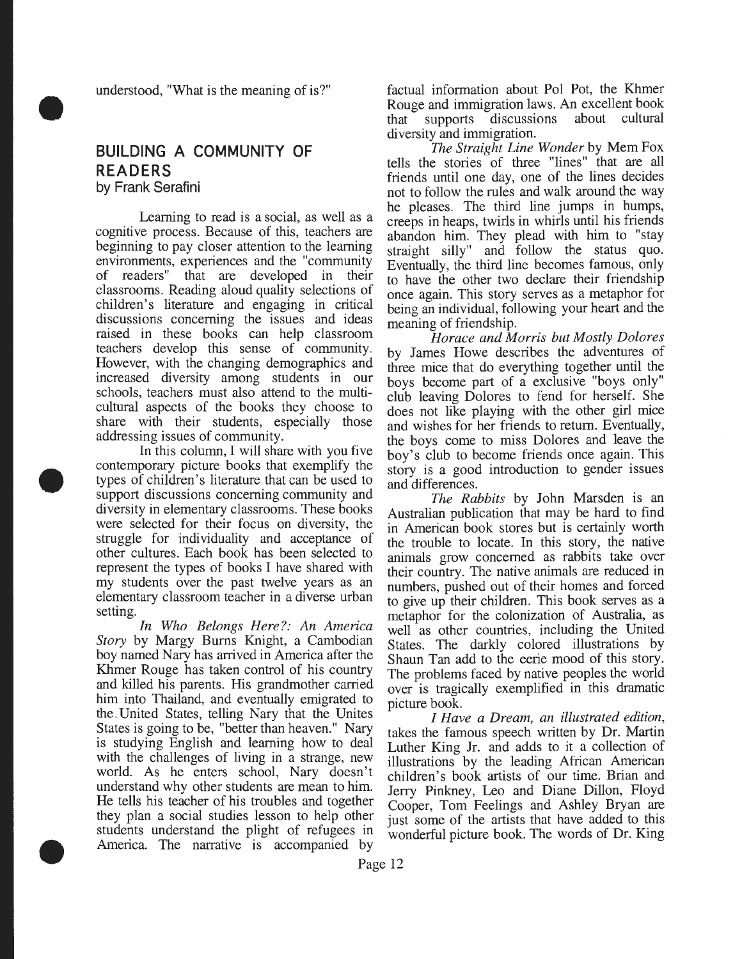understood, "What is the meaning of is?"

### **BUILDING A COMMUNITY OF READERS by Frank Serafini**

•

•

•

Learning to read is a social, as well as a cognitive process. Because of this, teachers are beginning to pay closer attention to the learning environments, experiences and the "community of readers" that are developed in their classrooms. Reading aloud quality selections of children's literature and engaging in critical discussions concerning the issues and ideas raised in these books can help classroom teachers develop this sense of community. However, with the changing demographics and increased diversity among students in our schools, teachers must also attend to the multicultural aspects of the books they choose to share with their students, especially those addressing issues of community.

In this column, I will share with you five contemporary picture books that exemplify the types of children's literature that can be used to support discussions concerning community and diversity in elementary classrooms. These books were selected for their focus on diversity, the struggle for individuality and acceptance of other cultures. Each book has been selected to represent the types of books I have shared with my students over the past twelve years as an elementary classroom teacher in a diverse urban setting.

*In Who Belongs Here?: An America Story* by Margy Burns Knight, a Cambodian boy named Nary has arrived in America after the Khmer Rouge has taken control of his country and killed his parents. His grandmother carried him into Thailand, and eventually emigrated to the, United States, telling Nary that the Unites States is going to be, "better than heaven." Nary is studying English and learning how to deal with the challenges of living in a strange, new world. As he enters school, Nary doesn't understand why other students are mean to him. He tells his teacher of his troubles and together they plan a social studies lesson to help other students understand the plight of refugees in America. The narrative is accompanied by

factual information about Pol Pot, the Khmer Rouge and immigration laws. An excellent book that supports discussions about cultural diversity and immigration.

*The Straight Line Wonder* by Mem Fox tells the stories of three "lines" that are all friends until one day, one of the lines decides not to follow the rules and walk around the way he pleases. The third line jumps in humps, creeps in heaps, twirls in whirls until his friends abandon him. They plead with him to "stay straight silly" and follow the status quo. Eventually, the third line becomes famous, only to have the other two declare their friendship once again. This story serves as a metaphor for being an individual, following your heart and the meaning of friendship.

*Horace and Morris but Mostly Dolores*  by James Howe describes the adventures of three mice that do everything together until the boys become part of a exclusive "boys only" club leaving Dolores to fend for herself. She does not like playing with the other girl mice and wishes for her friends to return. Eventually, the boys come to miss Dolores and leave the boy's club to become friends once agam: This story is a good introduction to gender issues and differences.

*The Rabbits* by John Marsden is an Australian publication that may be hard to find in American book stores but is certainly worth the trouble to locate. In this story, the native animals grow concerned as rabbits take over their country. The native animals are reduced m numbers, pushed out of their homes and forced to give up their children. This book serves as a metaphor for the colonization of Australia, as well as other countries, including the United States. The darkly colored illustrations by Shaun Tan add to the eerie mood of this story. The problems faced by native peoples the world over is tragically exemplified in this dramatic picture book.

*I Have a Dream, an illustrated edition,*  takes the famous speech written by Dr. Martin Luther King Jr. and adds to it a collection of illustrations by the leading African American children's book artists of our time. Brian and Jerry Pinkney, Leo and Diane Dillon, Floyd Cooper, Tom Feelings and Ashley Bryan are just some of the artists that have added to this wonderful picture book. The words of Dr. King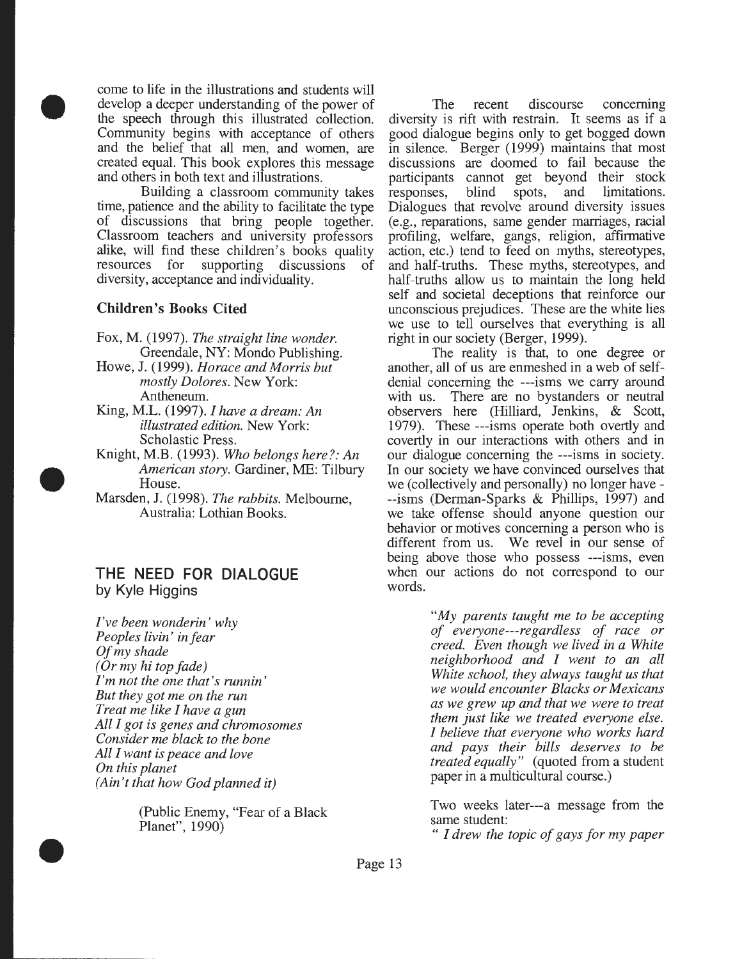come to life in the illustrations and students will develop a deeper understanding of the power of the speech through this illustrated collection. Community begins with acceptance of others and the belief that all men, and women, are created equal. This book explores this message and others in both text and illustrations.

Building a classroom community takes time, patience and the ability to facilitate the type of discussions that bring people together. Classroom teachers and university professors alike, will find these children's books quality resources for supporting discussions of diversity, acceptance and individuality.

### Children's Books Cited

•

•

- Fox, M. (1997). *The straight line wonder.*  Greendale, NY: Mondo Publishing.
- Howe, J. (1999). *Horace and Morris but mostly Dolores.* New York: Antheneum.
- King, M.L. (1997). *I have a dream: An illustrated edition.* New York: Scholastic Press.
- Knight, M.B. (1993). *Who belongs here?: An American story.* Gardiner, ME: Tilbury House.
- Marsden, J. (1998). *The rabbits.* Melbourne, Australia: Lothian Books.

### **THE NEED FOR DIALOGUE**  by Kyle Higgins

*I've been wonderin' why Peoples livin' in fear Of my shade (Or my hi top fade) I'm not the one that's runnin' But they got me on the run Treat me like I have a gun All I got is genes and chromosomes Consider me black to the bone All I want is peace and love On this planet (Ain't that how God planned it)* 

> (Public Enemy, "Fear of a Black Planet", 1990)

The recent discourse concerning diversity is rift with restrain. It seems as if a good dialogue begins only to get bogged down in silence. Berger (1999) maintains that most discussions are doomed to fail because the participants cannot get beyond their stock responses, blind spots, and limitations. Dialogues that revolve around diversity issues (e.g., reparations, same gender marriages, racial profiling, welfare, gangs, religion, affirmative action, etc.) tend to feed on myths, stereotypes, and half-truths. These myths, stereotypes, and half-truths allow us to maintain the long held self and societal deceptions that reinforce our unconscious prejudices. These are the white lies we use to tell ourselves that everything is all right in our society (Berger, 1999).

The reality is that, to one degree or another, all of us are enmeshed in a web of selfdenial concerning the ---isms we carry around with us. There are no bystanders or neutral observers here (Hilliard, Jenkins, & Scott, 1979). These ---isms operate both overtly and covertly in our interactions with others and in our dialogue concerning the ---isms in society. In our society we have convinced ourselves that we (collectively and personally) no longer have ---isms (Derman-Sparks & Phillips, 1997) and we take offense should anyone question our behavior or motives concerning a person who is different from us. We revel in our sense of being above those who possess ---isms, even when our actions do not correspond to our words.

> *"My parents taught me to be accepting of everyone---regardless of race or creed. Even though we lived in a White neighborhood and I went to an all White school, they always taught us that we would encounter Blacks or Mexicans as we grew up and that we were to treat them just like we treated everyone else. I believe that everyone who works hard and pays their bills deserves to be treated equally"* (quoted from a student paper in a multicultural course.)

Two weeks later---a message from the same student:

" *I drew the topic of gays for my paper* 



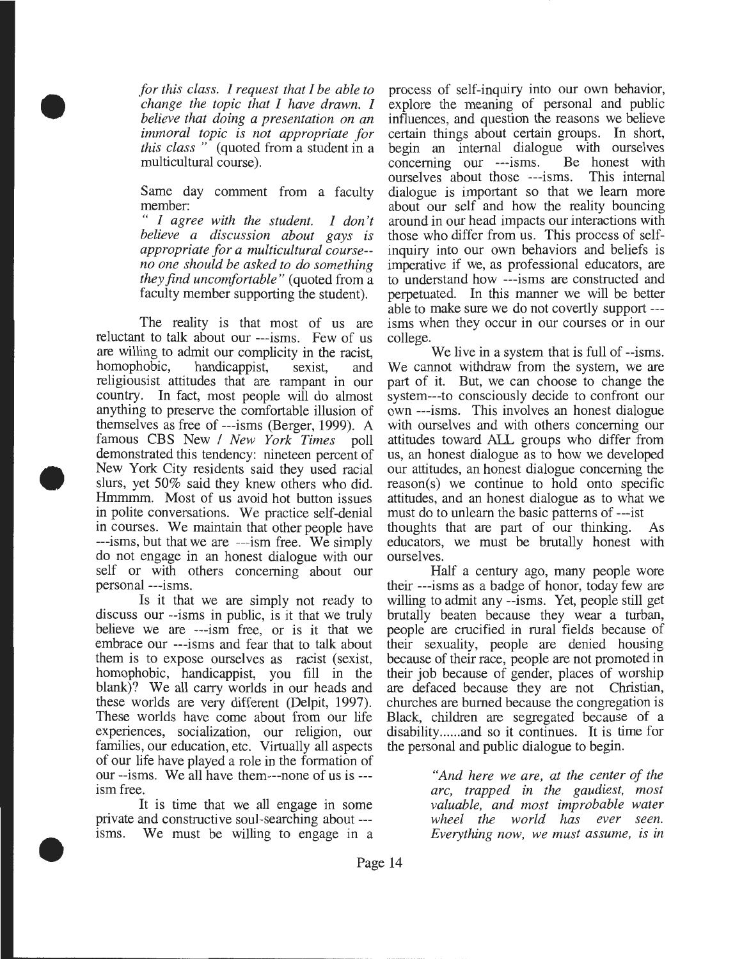*for this class. I request that I be able to change the topic that I have drawn. I believe that doing a presentation on an immoral topic is not appropriate for this class* " (quoted from a student in a multicultural course).

•

•

•

Same day comment from a faculty member:

" *I agree with the student. I don't believe a discussion about gays is appropriate for a multicultural course- no one should be asked to do something they find uncomfortable"* (quoted from a faculty member supporting the student).

The reality is that most of us are reluctant to talk about our ---isms. Few of us are willing to admit our complicity in the racist,<br>homophobic, handicappist, sexist, and handicappist, sexist, and religiousist attitudes that are rampant in our country. In fact, most people will do almost anything to preserve the comfortable illusion of themselves as free of ---isms (Berger, 1999). A famous CBS New I *New York Times* poll demonstrated this tendency: nineteen percent of New York City residents said they used racial slurs, yet 50% said they knew others who did. Hmmmm. Most of us avoid hot button issues in polite conversations. We practice self-denial in courses. We maintain that other people have ---isms, but that we are ---ism free. We simply do not engage in an honest dialogue with our self or with others concerning about our personal ---isms.

Is it that we are simply not ready to discuss our --isms in public, is it that we truly believe we are ---ism free, or is it that we embrace our ---isms and fear that to talk about them is to expose ourselves as racist (sexist, homophobic, handicappist, you fill in the blank)? We all carry worlds in our heads and these worlds are very different (Delpit, 1997). These worlds have come about from our life experiences, socialization, our religion, our families, our education, etc. Virtually all aspects of our life have played a role in the formation of our --isms. We all have them---none of us is-- ism free.

It is time that we all engage in some private and constructive soul-searching about-- isms. We must be willing to engage in a

---------------------- ------ ------------···-·----

process of self-inquiry into our own behavior, explore the meaning of personal and public influences, and question the reasons we believe certain things about certain groups. In short, begin an internal dialogue with ourselves concerning our ---isms. Be honest with concerning our ---isms. ourselves about those ---isms. This internal dialogue is important so that we learn more about our self and how the reality bouncing around in our head impacts our interactions with those who differ from us. This process of selfinquiry into our own behaviors and beliefs is imperative if we, as professional educators, are to understand how ---isms are constructed and perpetuated. In this manner we will be better able to make sure we do not covertly support -- isms when they occur in our courses or in our college.

We live in a system that is full of  $-$ isms. We cannot withdraw from the system, we are part of it. But, we can choose to change the system---to consciously decide to confront our own ---isms. This involves an honest dialogue with ourselves and with others concerning our attitudes toward *AIL* groups who differ from us, an honest dialogue as to how we developed our attitudes, an honest dialogue concerning the reason(s) we continue to hold onto specific attitudes, and an honest dialogue as to what we must do to unlearn the basic patterns of ---ist thoughts that are part of our thinking. As educators, we must be brutally honest with ourselves.

Half a century ago, many people wore their ---isms as a badge of honor, today few are willing to admit any --isms. Yet, people still get brutally beaten because they wear a turban, people are crucified in rural fields because of their sexuality, people are denied housing because of their race, people are not promoted in their job because of gender, places of worship are defaced because they are not Christian, churches are burned because the congregation is Black, children are segregated because of a disability ...... and so it continues. It is time for the personal and public dialogue to begin.

> *"And here we are, at the center of the arc, trapped in the gaudiest, most valuable, and most improbable water wheel the world has ever seen. Everything now, we must assume, is in*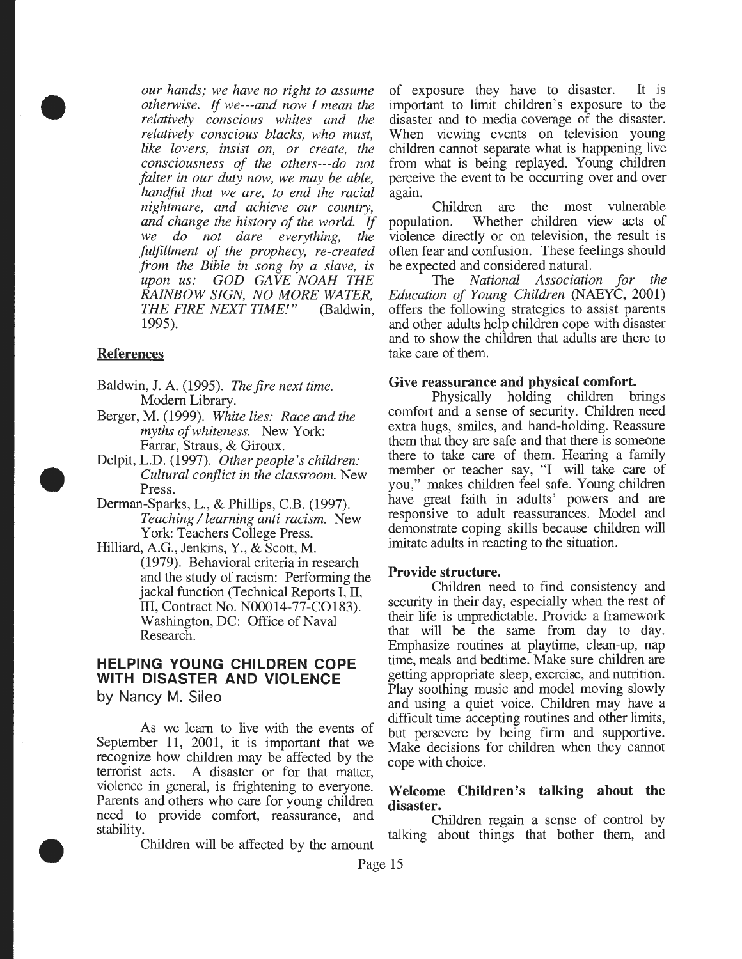*our hands; we have no right to assume otherwise.* If *we---and now I mean the relatively conscious whites and the relatively conscious blacks, who must, like lovers, insist on, or create, the consciousness of the others---do not falter in our duty now, we may be able, handful that we are, to end the racial nightmare, and achieve our country, and change the history of the world. If we do not dare everything, the fulfillment of the prophecy, re-created from the Bible in song by a slave, is upon us: GOD GAVE NOAH THE RAINBOW SIGN, NO MORE WATER, THE FIRE NEXT TIME!"* (Baldwin, 1995).

#### **References**

•

•

•

- Baldwin, J. A. (1995). *The fire next time.*  Modem Library.
- Berger, M. (1999). *White lies: Race and the myths ofwhiteness.* New York: Farrar, Straus, & Giroux.
- Delpit, L.D. (1997). *Other people's children: Cultural conflict in the classroom.* New Press.
- Derman-Sparks, L., & Phillips, C.B. (1997). *Teaching I learning anti-racism.* New York: Teachers College Press.
- Hilliard, A.G., Jenkins, Y., & Scott, M. (1979). Behavioral criteria in research and the study of racism: Performing the jackal function (Technical Reports I, II, III, Contract No. N00014-77-C0183). Washington, DC: Office of Naval Research.

### **HELPING YOUNG CHILDREN COPE WITH DISASTER AND VIOLENCE**

by Nancy M. Sileo

As we learn to live with the events of September 11, 2001, it is important that we recognize how children may be affected by the terrorist acts. A disaster or for that matter, violence in general, is frightening to everyone. Parents and others who care for young children need to provide comfort, reassurance, and stability.

Children will be affected by the amount

of exposure they have to disaster. It is important to limit children's exposure to the disaster and to media coverage of the disaster. When viewing events on television young children cannot separate what is happening live from what is being replayed. Young children perceive the event to be occurring over and over again.

Children are the most vulnerable population. Whether children view acts of violence directly or on television, the result is often fear and confusion. These feelings should be expected and considered natural.

The *National Association for the Education of Young Children* (NAEYC, 2001) offers the following strategies to assist parents and other adults help children cope with disaster and to show the children that adults are there to take care of them.

#### Give reassurance and physical comfort.

Physically holding children brings comfort and a sense of security. Children need extra hugs, smiles, and hand-holding. Reassure them that they are safe and that there is someone there to take care of them. Hearing a family member or teacher say, "I will take care of you," makes children feel safe. Young children have great faith in adults' powers and are responsive to adult reassurances. Model and demonstrate coping skills because children will imitate adults in reacting to the situation.

#### Provide structure.

Children need to find consistency and security in their day, especially when the rest of their life is unpredictable. Provide a framework that will be the same from day to day. Emphasize routines at playtime, clean-up, nap time, meals and bedtime. Make sure children are getting appropriate sleep, exercise, and nutrition. Play soothing music and model moving slowly and using a quiet voice. Children may have a difficult time accepting routines and other limits, but persevere by being firm and supportive. Make decisions for children when they cannot cope with choice.

#### Welcome Children's talking about the disaster.

Children regain a sense of control by talking about things that bother them, and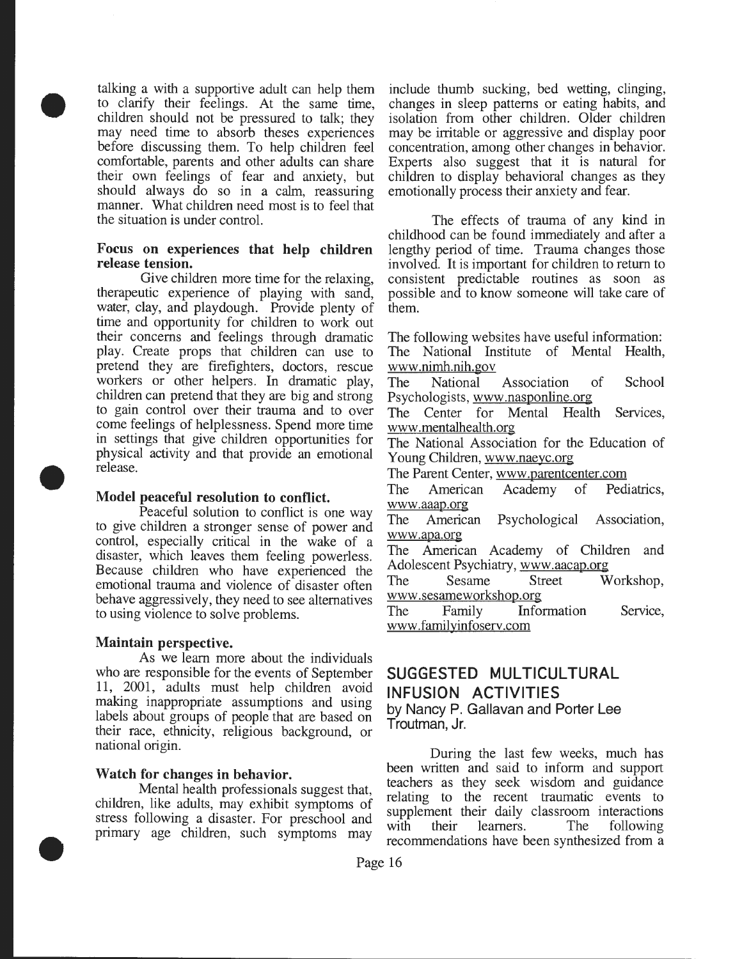talking a with a supportive adult can help them to clarify their feelings. At the same time, children should not be pressured to talk; they may need time to absorb theses experiences before discussing them. To help children feel comfortable, parents and other adults can share their own feelings of fear and anxiety, but should always do so in a calm, reassuring manner. What children need most is to feel that the situation is under control.

•

•

•

#### Focus on experiences that help children release tension.

Give children more time for the relaxing, therapeutic experience of playing with sand, water, clay, and playdough. Provide plenty of time and opportunity for children to work out their concerns and feelings through dramatic play. Create props that children can use to pretend they are firefighters, doctors, rescue workers or other helpers. In dramatic play, children can pretend that they are big and strong to gain control over their trauma and to over come feelings of helplessness. Spend more time in settings that give children opportunities for physical activity and that provide an emotional release.

### Model peaceful resolution to conflict.

Peaceful solution to conflict is one way to give children a stronger sense of power and control, especially critical in the wake of a disaster, which leaves them feeling powerless. Because children who have experienced the emotional trauma and violence of disaster often behave aggressively, they need to see alternatives to using violence to solve problems.

#### Maintain perspective.

As we learn more about the individuals who are responsible for the events of September 11, 2001, adults must help children avoid making inappropriate assumptions and using labels about groups of people that are based on their race, ethnicity, religious background, or national origin.

### Watch for changes in behavior.

Mental health professionals suggest that, children, like adults, may exhibit symptoms of stress following a disaster. For preschool and primary age children, such symptoms may

include thumb sucking, bed wetting, clinging, changes in sleep patterns or eating habits, and isolation from other children. Older children may be irritable or aggressive and display poor concentration, among other changes in behavior. Experts also suggest that it is natural for children to display behavioral changes as they emotionally process their anxiety and fear.

The effects of trauma of any kind in childhood can be found immediately and after a lengthy period of time. Trauma changes those involved. It is important for children to return to consistent predictable routines as soon as possible and to know someone will take care of them.

The following websites have useful information: The National Institute of Mental Health, www.nimh.nih.gov

The National Association of School Psychologists, www .nasponline.org

The Center for Mental Health Services, www .mentalhealth.org

The National Association for the Education of Young Children, www.naeyc.org

The Parent Center, www.parentcenter.com

The American Academy of Pediatrics, www.aaap.org

The American Psychological Association, www.apa.org

The American Academy of Children and Adolescent Psychiatry, www.aacap.org

The Sesame Street Workshop, www .sesameworkshop.org

The Family Information Service, www .familyinfoserv .com

### SUGGESTED MULTICULTURAL INFUSION ACTIVITIES by Nancy P. Gallavan and Porter Lee Troutman, Jr.

During the last few weeks, much has been written and said to inform and support teachers as they seek wisdom and guidance relating to the recent traumatic events to supplement their daily classroom interactions with their learners. The following recommendations have been synthesized from a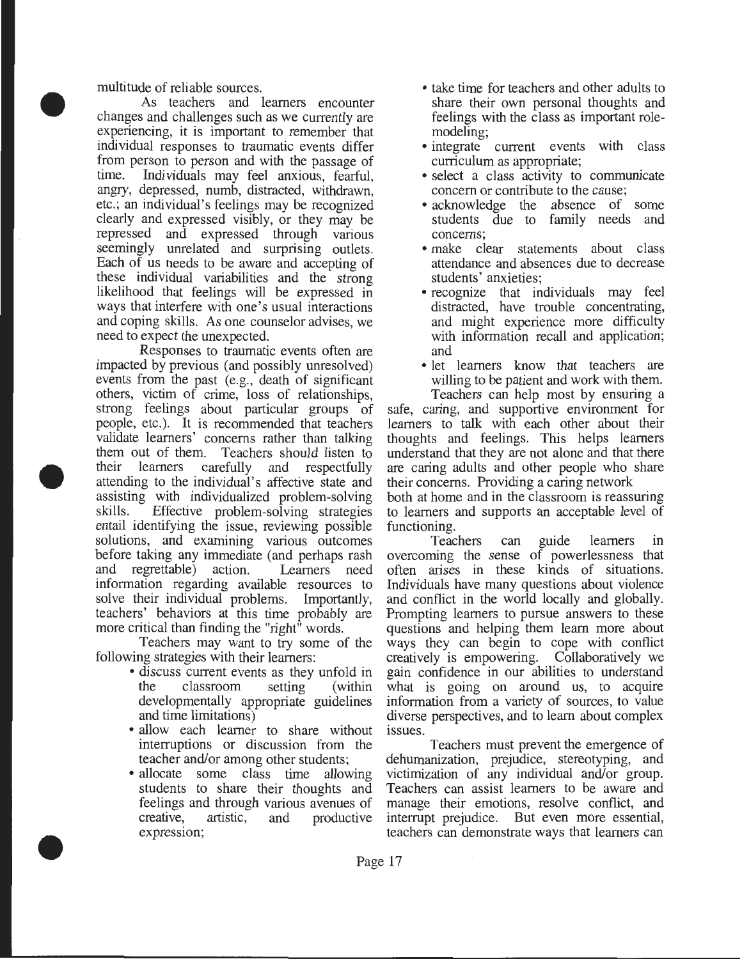multitude of reliable sources.

•

•

•

As teachers and learners encounter changes and challenges such as we currently are experiencing, it is important to remember that individual responses to traumatic events differ from person to person and with the passage of time. Individuals may feel anxious, fearful, angry, depressed, numb, distracted, withdrawn, etc.; an individual's feelings may be recognized clearly and expressed visibly, or they may be repressed and expressed through various seemingly unrelated and surprising outlets. Each of us needs to be aware and accepting of these individual variabilities and the strong likelihood that feelings will be expressed in ways that interfere with one's usual interactions and coping skills. As one counselor advises, we need to expect the unexpected.

Responses to traumatic events often are impacted by previous (and possibly unresolved) events from the past (e.g., death of significant others, victim of crime, loss of relationships, strong feelings about particular groups of people, etc.). It is recommended that teachers validate learners' concerns rather than talking them out of them. Teachers should listen to their learners carefully and respectfully attending to the individual's affective state and assisting with individualized problem-solving skills. Effective problem-solving strategies entail identifying the issue, reviewing possible solutions, and examining various outcomes before taking any immediate (and perhaps rash and regrettable) action. Learners need information regarding available resources to solve their individual problems. Importantly, teachers' behaviors at this time probably are more critical than finding the "right" words.

Teachers may want to try some of the following strategies with their learners:

- discuss current events as they unfold in the classroom setting (within developmentally appropriate guidelines and time limitations)
- allow each learner to share without interruptions or discussion from the teacher and/or among other students;
- allocate some class time allowing students to share their thoughts and feelings and through various avenues of creative, artistic, and productive expression;
- take time for teachers and other adults to share their own personal thoughts and feelings with the class as important rolemodeling;
- integrate current events with class curriculum as appropriate;
- select a class activity to communicate concern or contribute to the cause;
- acknowledge the absence of some students due to family needs and concerns;
- make clear statements about class attendance and absences due to decrease students' anxieties;
- recognize that individuals may feel distracted, have trouble concentrating, and might experience more difficulty with information recall and application; and
- let learners know that teachers are willing to be patient and work with them. Teachers can help most by ensuring a

safe, caring, and supportive environment for learners to talk with each other about their thoughts and feelings. This helps learners understand that they are not alone and that there are caring adults and other people who share their concerns. Providing a caring network

both at home and in the classroom is reassuring to learners and supports an acceptable level of functioning.

Teachers can guide learners in overcoming the sense of powerlessness that often arises in these kinds of situations. Individuals have many questions about violence and conflict in the world locally and globally. Prompting learners to pursue answers to these questions and helping them learn more about ways they can begin to cope with conflict creatively is empowering. Collaboratively we gain confidence in our abilities to understand what is going on around us, to acquire information from a variety of sources, to value diverse perspectives, and to learn about complex issues.

Teachers must prevent the emergence of dehumanization, prejudice, stereotyping, and victimization of any individual and/or group. Teachers can assist learners to be aware and manage their emotions, resolve conflict, and interrupt prejudice. But even more essential, teachers can demonstrate ways that learners can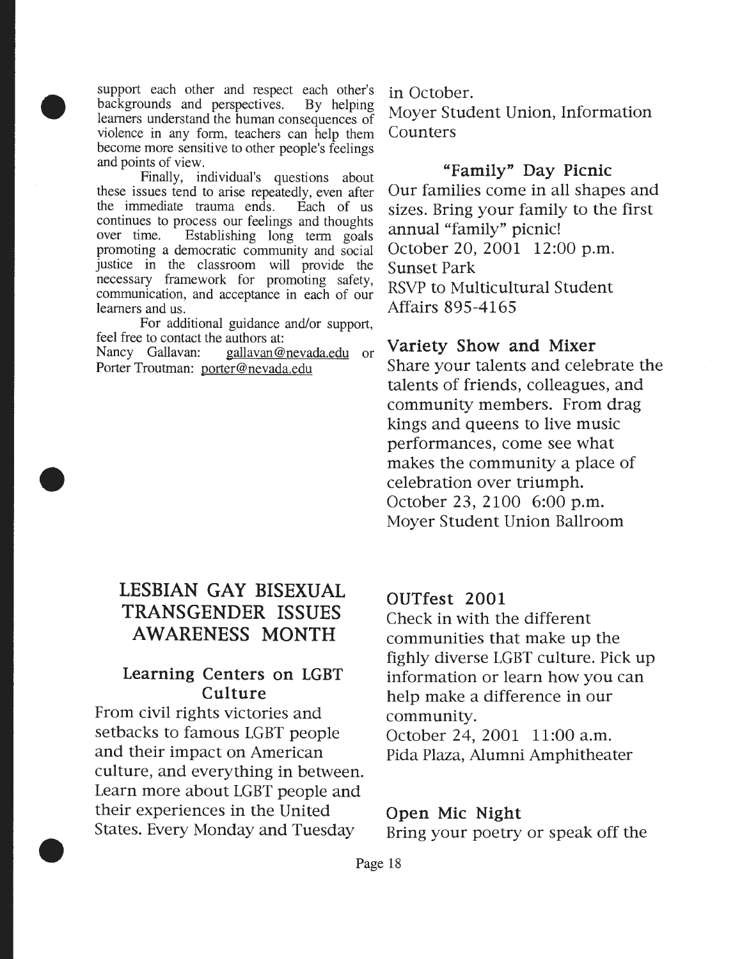support each other and respect each other's backgrounds and perspectives. By helping learners understand the human consequences of violence in any form, teachers can help them become more sensitive to other people's feelings and points of view.

•

•

•

Finally, individual's questions about these issues tend to arise repeatedly, even after the immediate trauma ends. Each of us the immediate trauma ends. continues to process our feelings and thoughts over time. Establishing long term goals promoting a democratic community and social justice in the classroom will provide the necessary framework for promoting safety, communication, and acceptance in each of our learners and us.

For additional guidance and/or support, feel free to contact the authors at:

Nancy Gallavan: gallavan@nevada.edu or Porter Troutman: porter@nevada.edu

**LESBIAN GAY BISEXUAL TRANSGENDER ISSUES AWARENESS MONTH** 

### **Learning Centers on LGBT Culture**

From civil rights victories and setbacks to famous LGBT people and their impact on American culture, and everything in between. Learn more about LGBT people and their experiences in the United States. Every Monday and Tuesday

in October. Moyer Student Union, Information Counters

### **"Family" Day Picnic**

Our families come in all shapes and sizes. Bring your family to the first annual "family" picnic! October 20, 2001 12:00 p.m. Sunset Park RSVP to Multicultural Student Affairs 895-4165

### **Variety Show and Mixer**

Share your talents and celebrate the talents of friends, colleagues, and community members. From drag kings and queens to live music performances, come see what makes the community a place of celebration over triumph. October 23, 2100 6:00 p.m. Moyer Student Union Ballroom

### **OUTfest 2001**

Check in with the different communities that make up the fighly diverse LGBT culture. Pick up information or learn how you can help make a difference in our community.

October 24, 2001 11:00 a.m. Pida Plaza, Alumni Amphitheater

### **Open Mic Night**

Bring your poetry or speak off the

Page 18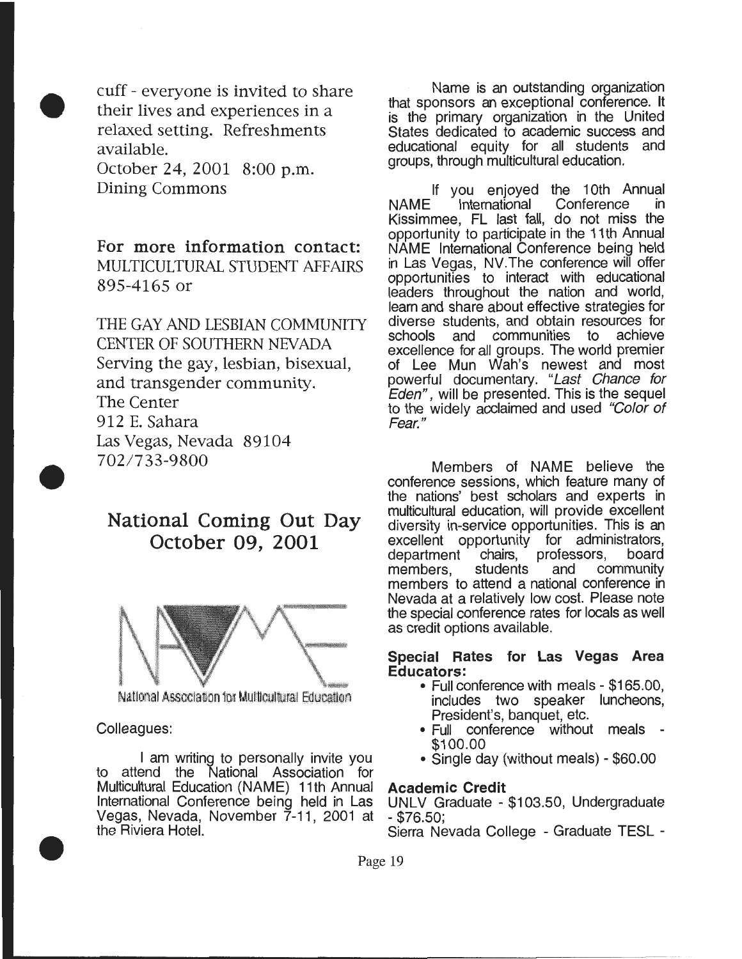cuff- everyone is invited to share their lives and experiences in a relaxed setting. Refreshments available. October 24, 2001 8:00 p.m. Dining Commons

•

•

•

For more information contact: MULTICULTURAL STUDENT AFFAIRS 895-4165 or

THE GAY AND LESBIAN COMMUNITY CENTER OF SOUTHERN NEVADA Serving the gay, lesbian, bisexual, and transgender community. The Center 912 E. Sahara Las Vegas, Nevada 89104 702/733-9800

## National Coming Out Day October 09, 2001



National Association for Multicultural Education

Colleagues:

I am writing to personally invite you to attend the National Association for Multicultural Education (NAME) 11th Annual International Conference being held in Las Vegas, Nevada, November 7-11, 2001 at the Riviera Hotel.

Name is an outstanding organization that sponsors an exceptional conference. It is the primary organization in the United States dedicated to academic success and educational equity for all students and groups, through multicultural education.

If you enjoyed the 10th Annual<br>NAME International Conference in NAME International Conference in Kissimmee, FL last fall, do not miss the opportunity to participate in the 11th Annual NAME International Conference being held in Las Vegas, NV.The conference will offer opportunities to interact with educational leaders throughout the nation and world, learn and share about effective strategies for diverse students, and obtain resources for<br>schools and communities to achieve schools and communities to excellence for all groups. The world premier of Lee Mun Wah's newest and most powerful documentary. "Last Chance for Eden", will be presented. This is the sequel to the widely acclaimed and used "Color of Fear."

Members of NAME believe the conference sessions, which feature many of the nations' best scholars and experts in multicultural education, will provide excellent diversity in-service opportunities. This is an excellent opportunity for administrators,<br>department chairs, professors, board department chairs, professors, board members. members to attend a national conference in Nevada at a relatively low cost. Please note the special conference rates for locals as well as credit options available.

### Special Rates for Las Vegas Area Educators:

- Full conference with meals \$165.00, includes two speaker luncheons, President's, banquet, etc.
- Full conference without meals \$100.00
- Single day (without meals) \$60.00

### Academic Credit

UNLV Graduate- \$103.50, Undergraduate - \$76.50;

Sierra Nevada College - Graduate TESL -

Page 19